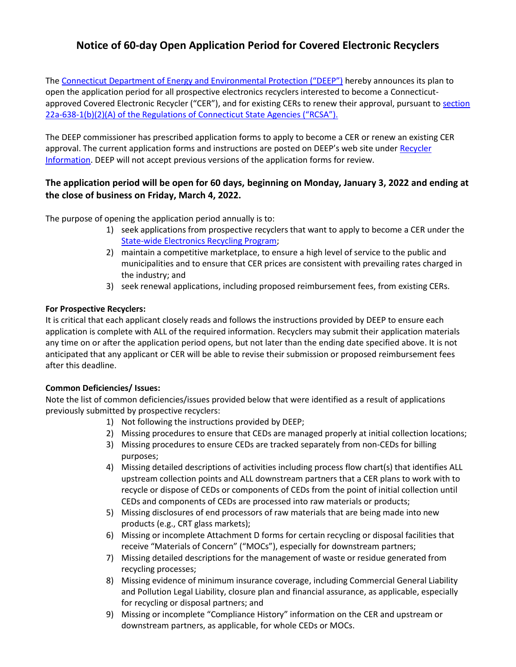# **Notice of 60-day Open Application Period for Covered Electronic Recyclers**

The [Connecticut Department of Energy and Environmental Protection \("DEEP"\)](http://www.ct.gov/deep/) hereby announces its plan to open the application period for all prospective electronics recyclers interested to become a Connecticutapproved Covered Electronic Recycler ("CER"), and for existing CERs to renew their approval, pursuant t[o section](https://portal.ct.gov/DEEP/Reduce-Reuse-Recycle/Electronics/CT-Electronic-Recycling-Law#Law)  22a-638-[1\(b\)\(2\)\(A\) of the Regulations of Connecticut State Agencies \("RCSA"\).](https://portal.ct.gov/DEEP/Reduce-Reuse-Recycle/Electronics/CT-Electronic-Recycling-Law#Law) 

The DEEP commissioner has prescribed application forms to apply to become a CER or renew an existing CER approval. The current application forms and instructions are posted on DEEP's web site under [Recycler](http://www.ct.gov/deep/cwp/view.asp?a=2714&q=465070&deepNav_GID=1645)  [Information.](http://www.ct.gov/deep/cwp/view.asp?a=2714&q=465070&deepNav_GID=1645) DEEP will not accept previous versions of the application forms for review.

## **The application period will be open for 60 days, beginning on Monday, January 3, 2022 and ending at the close of business on Friday, March 4, 2022.**

The purpose of opening the application period annually is to:

- 1) seek applications from prospective recyclers that want to apply to become a CER under the [State-wide Electronics Recycling Program;](http://www.ct.gov/deep/cwp/view.asp?a=2714&q=397482&deepNav_GID=1645)
- 2) maintain a competitive marketplace, to ensure a high level of service to the public and municipalities and to ensure that CER prices are consistent with prevailing rates charged in the industry; and
- 3) seek renewal applications, including proposed reimbursement fees, from existing CERs.

## **For Prospective Recyclers:**

It is critical that each applicant closely reads and follows the instructions provided by DEEP to ensure each application is complete with ALL of the required information. Recyclers may submit their application materials any time on or after the application period opens, but not later than the ending date specified above. It is not anticipated that any applicant or CER will be able to revise their submission or proposed reimbursement fees after this deadline.

## **Common Deficiencies/ Issues:**

Note the list of common deficiencies/issues provided below that were identified as a result of applications previously submitted by prospective recyclers:

- 1) Not following the instructions provided by DEEP;
- 2) Missing procedures to ensure that CEDs are managed properly at initial collection locations;
- 3) Missing procedures to ensure CEDs are tracked separately from non-CEDs for billing purposes;
- 4) Missing detailed descriptions of activities including process flow chart(s) that identifies ALL upstream collection points and ALL downstream partners that a CER plans to work with to recycle or dispose of CEDs or components of CEDs from the point of initial collection until CEDs and components of CEDs are processed into raw materials or products;
- 5) Missing disclosures of end processors of raw materials that are being made into new products (e.g., CRT glass markets);
- 6) Missing or incomplete Attachment D forms for certain recycling or disposal facilities that receive "Materials of Concern" ("MOCs"), especially for downstream partners;
- 7) Missing detailed descriptions for the management of waste or residue generated from recycling processes;
- 8) Missing evidence of minimum insurance coverage, including Commercial General Liability and Pollution Legal Liability, closure plan and financial assurance, as applicable, especially for recycling or disposal partners; and
- 9) Missing or incomplete "Compliance History" information on the CER and upstream or downstream partners, as applicable, for whole CEDs or MOCs.